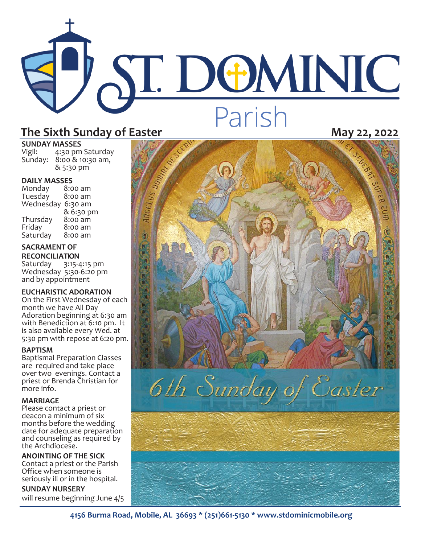# **ST. DOMINIC** Parish

## **SUNDAY MASSES**<br>Vigil: 4:30 pm

4:30 pm Saturday Sunday: 8:00 & 10:30 am, & 5:30 pm

### **DAILY MASSES**

Monday 8:00 am Tuesday Wednesday 6:30 am & 6:30 pm<br>8:00 am Thursday<br>Friday  $8:00$  am<br> $8:00$  am Saturday

#### **SACRAMENT OF RECONCILIATION**

Saturday 3:15-4:15 pm Wednesday 5:30-6:20 pm and by appointment

#### **EUCHARISTIC ADORATION**

On the First Wednesday of each month we have All Day Adoration beginning at 6:30 am with Benediction at 6:10 pm. It is also available every Wed. at 5:30 pm with repose at 6:20 pm.

#### **BAPTISM**

Baptismal Preparation Classes are required and take place over two evenings. Contact a priest or Brenda Christian for more info.

#### **MARRIAGE**

Please contact a priest or deacon a minimum of six months before the wedding date for adequate preparation and counseling as required by the Archdiocese.

**ANOINTING OF THE SICK** Contact a priest or the Parish Office when someone is seriously ill or in the hospital.

**SUNDAY NURSERY**  will resume beginning June 4/5



**4156 Burma Road, Mobile, AL 36693 \* (251)661-5130 \* www.stdominicmobile.org**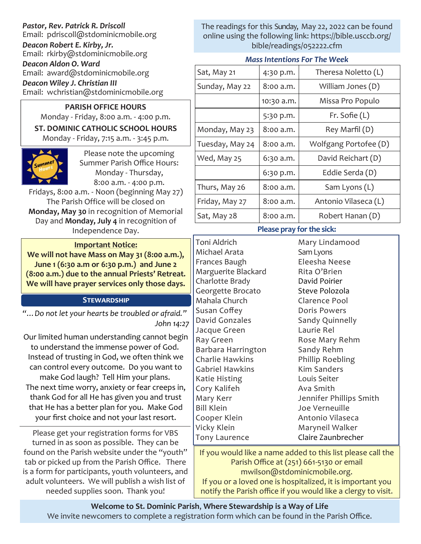*Pastor, Rev. Patrick R. Driscoll* Email: pdriscoll@stdominicmobile.org *Deacon Robert E. Kirby, Jr.* Email: rkirby@stdominicmobile.org *Deacon Aldon O. Ward* Email: award@stdominicmobile.org *Deacon Wiley J. Christian III* Email: wchristian@stdominicmobile.org

#### **PARISH OFFICE HOURS**

Monday - Friday, 8:00 a.m. - 4:00 p.m. **ST. DOMINIC CATHOLIC SCHOOL HOURS**  Monday - Friday, 7:15 a.m. - 3:45 p.m.



Please note the upcoming Summer Parish Office Hours: Monday - Thursday, 8:00 a.m. - 4:00 p.m.

Fridays, 8:00 a.m. - Noon (beginning May 27) The Parish Office will be closed on **Monday, May 30** in recognition of Memorial Day and **Monday, July 4** in recognition of Independence Day.

#### **Important Notice:**

**We will not have Mass on May 31 (8:00 a.m.), June 1 (6:30 a.m or 6:30 p.m.) and June 2 (8:00 a.m.) due to the annual Priests' Retreat. We will have prayer services only those days.** 

#### **Stewardship**

*"…Do not let your hearts be troubled or afraid." John 14:27*

Our limited human understanding cannot begin to understand the immense power of God. Instead of trusting in God, we often think we can control every outcome. Do you want to make God laugh? Tell Him your plans. The next time worry, anxiety or fear creeps in, thank God for all He has given you and trust

that He has a better plan for you. Make God your first choice and not your last resort.

Please get your registration forms for VBS turned in as soon as possible. They can be found on the Parish website under the "youth" tab or picked up from the Parish Office. There is a form for participants, youth volunteers, and adult volunteers. We will publish a wish list of needed supplies soon. Thank you!

The readings for this Sunday, May 22, 2022 can be found online using the following link: https://bible.usccb.org/ bible/readings/052222.cfm

#### *Mass Intentions For The Week*

| Sat, May 21     | 4:30 p.m.  | Theresa Noletto (L)   |
|-----------------|------------|-----------------------|
| Sunday, May 22  | 8:00 a.m.  | William Jones (D)     |
|                 | 10:30 a.m. | Missa Pro Populo      |
|                 | 5:30 p.m.  | Fr. Sofie $(L)$       |
| Monday, May 23  | 8:00 a.m.  | Rey Marfil (D)        |
| Tuesday, May 24 | 8:00 a.m.  | Wolfgang Portofee (D) |
| Wed, May 25     | 6:30 a.m.  | David Reichart (D)    |
|                 | 6:30 p.m.  | Eddie Serda (D)       |
| Thurs, May 26   | 8:00 a.m.  | Sam Lyons (L)         |
| Friday, May 27  | 8:00 a.m.  | Antonio Vilaseca (L)  |
| Sat, May 28     | 8:00 a.m.  | Robert Hanan (D)      |

#### **Please pray for the sick:**

Toni Aldrich Michael Arata Frances Baugh Marguerite Blackard Charlotte Brady Georgette Brocato Mahala Church Susan Coffey David Gonzales Jacque Green Ray Green Barbara Harrington Charlie Hawkins Gabriel Hawkins Katie Histing Cory Kalifeh Mary Kerr Bill Klein Cooper Klein Vicky Klein Tony Laurence

Mary Lindamood Sam Lyons Eleesha Neese Rita O'Brien David Poirier Steve Polozola Clarence Pool Doris Powers Sandy Quinnelly Laurie Rel Rose Mary Rehm Sandy Rehm Phillip Roebling Kim Sanders Louis Seiter Ava Smith Jennifer Phillips Smith Joe Verneuille Antonio Vilaseca Maryneil Walker Claire Zaunbrecher

If you would like a name added to this list please call the Parish Office at (251) 661-5130 or email mwilson@stdominicmobile.org. If you or a loved one is hospitalized, it is important you notify the Parish office if you would like a clergy to visit.

**Welcome to St. Dominic Parish**, **Where Stewardship is a Way of Life**  We invite newcomers to complete a registration form which can be found in the Parish Office.